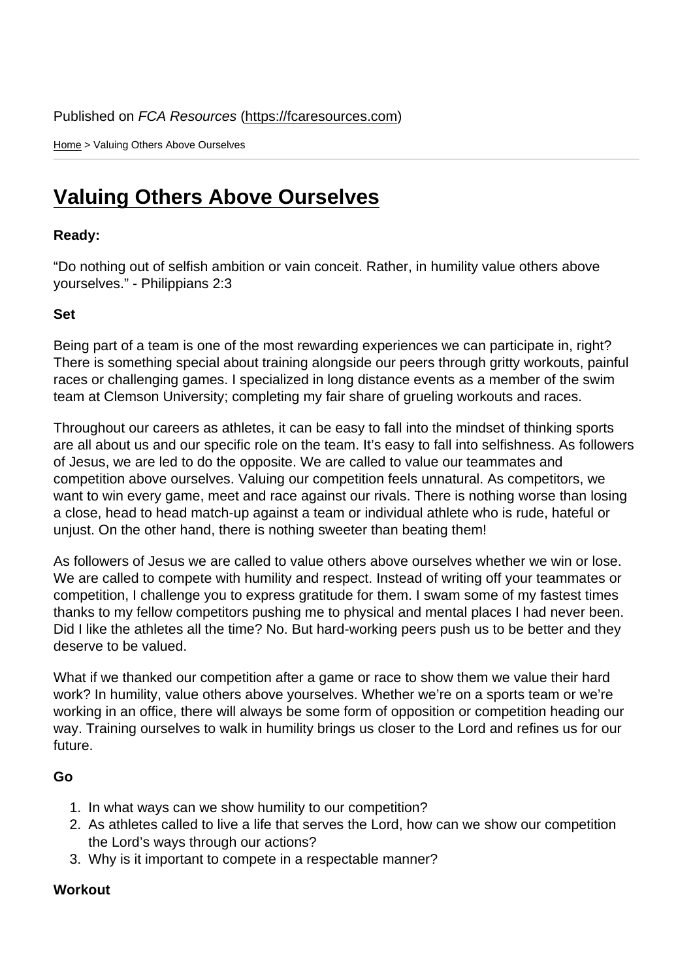Home > Valuing Others Above Ourselves

## [Val](https://fcaresources.com/)uing Others Above Ourselves

Ready:

["Do nothing out of selfish ambition or vain conceit. Ra](https://fcaresources.com/devotional/valuing-others-above-ourselves)ther, in humility value others above yourselves." - Philippians 2:3

Set

Being part of a team is one of the most rewarding experiences we can participate in, right? There is something special about training alongside our peers through gritty workouts, painful races or challenging games. I specialized in long distance events as a member of the swim team at Clemson University; completing my fair share of grueling workouts and races.

Throughout our careers as athletes, it can be easy to fall into the mindset of thinking sports are all about us and our specific role on the team. It's easy to fall into selfishness. As followers of Jesus, we are led to do the opposite. We are called to value our teammates and competition above ourselves. Valuing our competition feels unnatural. As competitors, we want to win every game, meet and race against our rivals. There is nothing worse than losing a close, head to head match-up against a team or individual athlete who is rude, hateful or unjust. On the other hand, there is nothing sweeter than beating them!

As followers of Jesus we are called to value others above ourselves whether we win or lose. We are called to compete with humility and respect. Instead of writing off your teammates or competition, I challenge you to express gratitude for them. I swam some of my fastest times thanks to my fellow competitors pushing me to physical and mental places I had never been. Did I like the athletes all the time? No. But hard-working peers push us to be better and they deserve to be valued.

What if we thanked our competition after a game or race to show them we value their hard work? In humility, value others above yourselves. Whether we're on a sports team or we're working in an office, there will always be some form of opposition or competition heading our way. Training ourselves to walk in humility brings us closer to the Lord and refines us for our future.

Go

- 1. In what ways can we show humility to our competition?
- 2. As athletes called to live a life that serves the Lord, how can we show our competition the Lord's ways through our actions?
- 3. Why is it important to compete in a respectable manner?

**Workout**